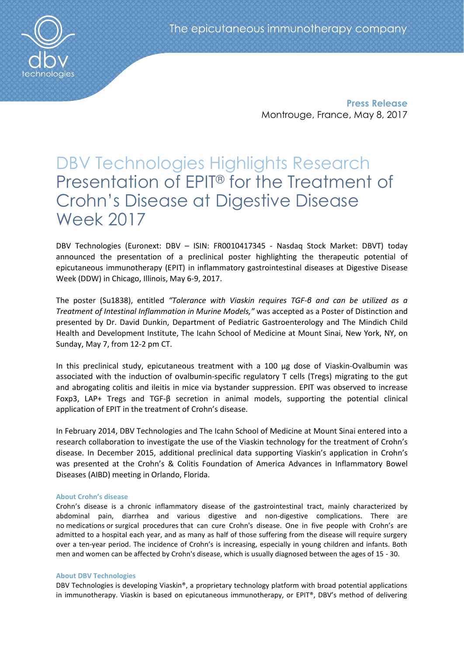**Press Release** Montrouge, France, May 8, 2017

# DBV Technologies Highlights Research Presentation of EPIT® for the Treatment of Crohn's Disease at Digestive Disease Week 2017

DBV Technologies (Euronext: DBV – ISIN: FR0010417345 - Nasdaq Stock Market: DBVT) today announced the presentation of a preclinical poster highlighting the therapeutic potential of epicutaneous immunotherapy (EPIT) in inflammatory gastrointestinal diseases at Digestive Disease Week (DDW) in Chicago, Illinois, May 6-9, 2017.

The poster (Su1838), entitled *"Tolerance with Viaskin requires TGF-β and can be utilized as a Treatment of Intestinal Inflammation in Murine Models,"* was accepted as a Poster of Distinction and presented by Dr. David Dunkin, Department of Pediatric Gastroenterology and The Mindich Child Health and Development Institute, The Icahn School of Medicine at Mount Sinai, New York, NY, on Sunday, May 7, from 12-2 pm CT.

In this preclinical study, epicutaneous treatment with a 100 µg dose of Viaskin-Ovalbumin was associated with the induction of ovalbumin-specific regulatory T cells (Tregs) migrating to the gut and abrogating colitis and ileitis in mice via bystander suppression. EPIT was observed to increase Foxp3, LAP+ Tregs and TGF-β secretion in animal models, supporting the potential clinical application of EPIT in the treatment of Crohn's disease.

In February 2014, DBV Technologies and The Icahn School of Medicine at Mount Sinai entered into a research collaboration to investigate the use of the Viaskin technology for the treatment of Crohn's disease. In December 2015, additional preclinical data supporting Viaskin's application in Crohn's was presented at the Crohn's & Colitis Foundation of America Advances in Inflammatory Bowel Diseases (AIBD) meeting in Orlando, Florida.

## **About Crohn's disease**

Crohn's disease is a chronic inflammatory disease of the gastrointestinal tract, mainly characterized by abdominal pain, diarrhea and various digestive and non-digestive complications. There are no medications or surgical procedures that can cure Crohn's disease. One in five people with Crohn's are admitted to a hospital each year, and as many as half of those suffering from the disease will require surgery over a ten-year period. The incidence of Crohn's is increasing, especially in young children and infants. Both men and women can be affected by Crohn's disease, which is usually diagnosed between the ages of 15 - 30.

### **About DBV Technologies**

DBV Technologies is developing Viaskin®, a proprietary technology platform with broad potential applications in immunotherapy. Viaskin is based on epicutaneous immunotherapy, or EPIT®, DBV's method of delivering